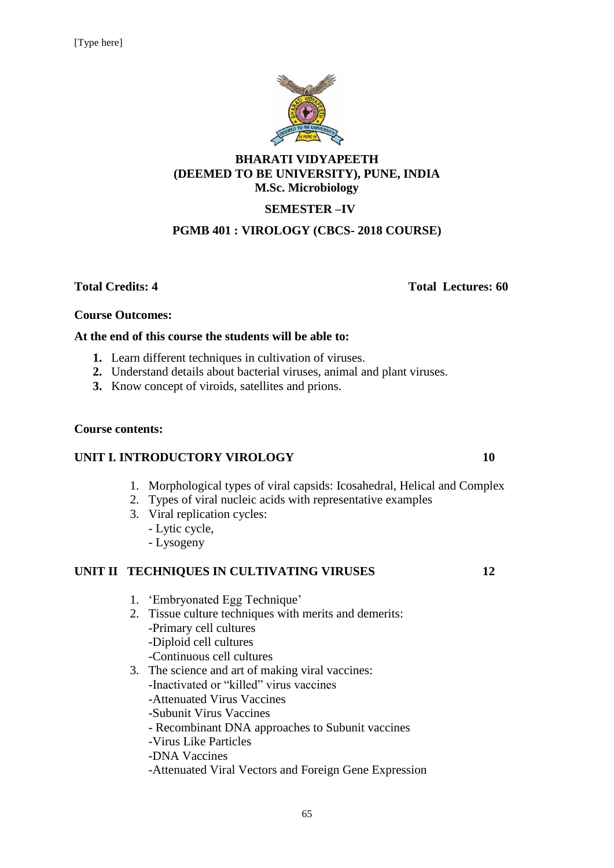

#### **BHARATI VIDYAPEETH (DEEMED TO BE UNIVERSITY), PUNE, INDIA M.Sc. Microbiology**

# **SEMESTER –IV**

#### **PGMB 401 : VIROLOGY (CBCS- 2018 COURSE)**

**Total Credits: 4 Total Lectures: 60**

#### **Course Outcomes:**

#### **At the end of this course the students will be able to:**

- **1.** Learn different techniques in cultivation of viruses.
- **2.** Understand details about bacterial viruses, animal and plant viruses.
- **3.** Know concept of viroids, satellites and prions.

#### **Course contents:**

#### **UNIT I. INTRODUCTORY VIROLOGY 10**

- 1. Morphological types of viral capsids: Icosahedral, Helical and Complex
- 2. Types of viral nucleic acids with representative examples
- 3. Viral replication cycles:
	- Lytic cycle,
	- Lysogeny

#### **UNIT II TECHNIQUES IN CULTIVATING VIRUSES** 12

- 1. 'Embryonated Egg Technique'
- 2. Tissue culture techniques with merits and demerits: -Primary cell cultures -Diploid cell cultures -Continuous cell cultures
- 3. The science and art of making viral vaccines:
	- -Inactivated or "killed" virus vaccines
	- -Attenuated Virus Vaccines
	- -Subunit Virus Vaccines
	- Recombinant DNA approaches to Subunit vaccines
	- -Virus Like Particles
	- -DNA Vaccines
	- -Attenuated Viral Vectors and Foreign Gene Expression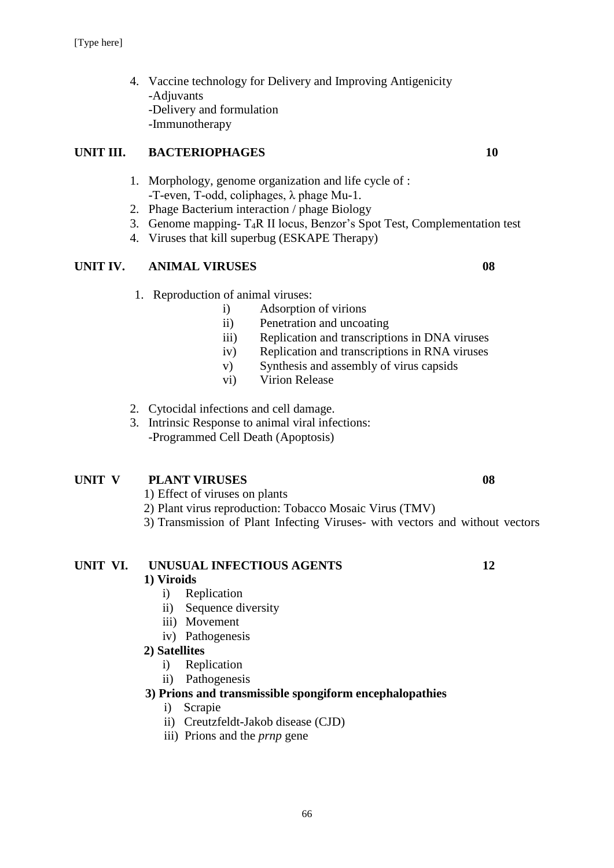4. Vaccine technology for Delivery and Improving Antigenicity -Adjuvants -Delivery and formulation -Immunotherapy

### **UNIT III. BACTERIOPHAGES** 10

- 1. Morphology, genome organization and life cycle of : -T-even, T-odd, coliphages, λ phage Mu-1.
- 2. Phage Bacterium interaction / phage Biology
- 3. Genome mapping- T4R II locus, Benzor's Spot Test, Complementation test
- 4. Viruses that kill superbug (ESKAPE Therapy)

### **UNIT IV. ANIMAL VIRUSES 08**

- 1. Reproduction of animal viruses:
	- i) Adsorption of virions
	- ii) Penetration and uncoating
	- iii) Replication and transcriptions in DNA viruses
	- iv) Replication and transcriptions in RNA viruses
	- v) Synthesis and assembly of virus capsids
	- vi) Virion Release
- 2. Cytocidal infections and cell damage.
- 3. Intrinsic Response to animal viral infections: -Programmed Cell Death (Apoptosis)

#### **UNIT V PLANT VIRUSES 08**

- 1) Effect of viruses on plants
- 2) Plant virus reproduction: Tobacco Mosaic Virus (TMV)
- 3) Transmission of Plant Infecting Viruses- with vectors and without vectors

#### **UNIT VI. UNUSUAL INFECTIOUS AGENTS 12**

#### **1) Viroids**

- i) Replication
- ii) Sequence diversity
- iii) Movement
- iv) Pathogenesis

#### **2) Satellites**

- i)Replication
- ii) Pathogenesis

#### **3) Prions and transmissible spongiform encephalopathies**

- i) Scrapie
- ii) Creutzfeldt-Jakob disease (CJD)
- iii) Prions and the *prnp* gene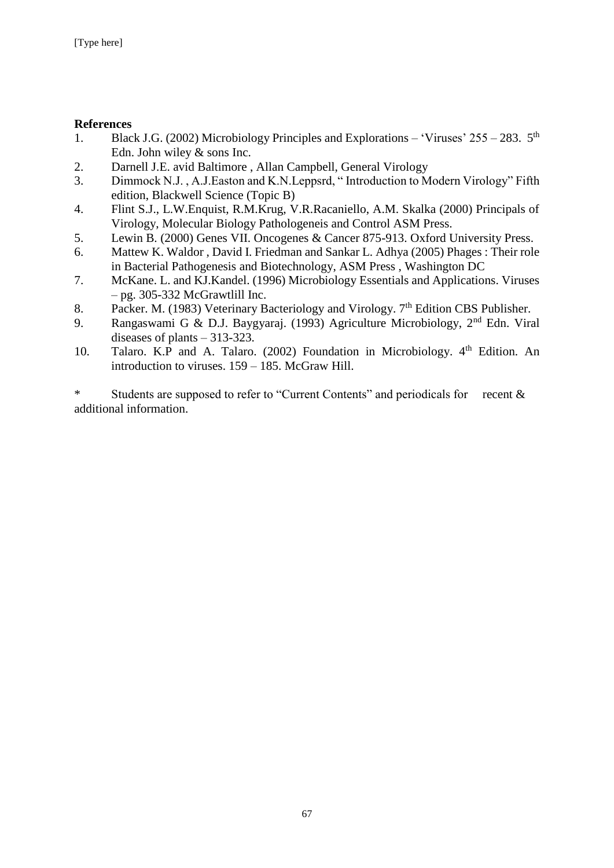#### **References**

- 1. Black J.G. (2002) Microbiology Principles and Explorations 'Viruses'  $255 283$ .  $5<sup>th</sup>$ Edn. John wiley & sons Inc.
- 2. Darnell J.E. avid Baltimore , Allan Campbell, General Virology
- 3. Dimmock N.J. , A.J.Easton and K.N.Leppsrd, " Introduction to Modern Virology" Fifth edition, Blackwell Science (Topic B)
- 4. Flint S.J., L.W.Enquist, R.M.Krug, V.R.Racaniello, A.M. Skalka (2000) Principals of Virology, Molecular Biology Pathologeneis and Control ASM Press.
- 5. Lewin B. (2000) Genes VII. Oncogenes & Cancer 875-913. Oxford University Press.
- 6. Mattew K. Waldor , David I. Friedman and Sankar L. Adhya (2005) Phages : Their role in Bacterial Pathogenesis and Biotechnology, ASM Press , Washington DC
- 7. McKane. L. and KJ.Kandel. (1996) Microbiology Essentials and Applications. Viruses – pg. 305-332 McGrawtlill Inc.
- 8. Packer. M. (1983) Veterinary Bacteriology and Virology. 7<sup>th</sup> Edition CBS Publisher.
- 9. Rangaswami G & D.J. Baygyaraj. (1993) Agriculture Microbiology, 2nd Edn. Viral diseases of plants – 313-323.
- 10. Talaro. K.P and A. Talaro. (2002) Foundation in Microbiology. 4<sup>th</sup> Edition. An introduction to viruses. 159 – 185. McGraw Hill.

\* Students are supposed to refer to "Current Contents" and periodicals for recent & additional information.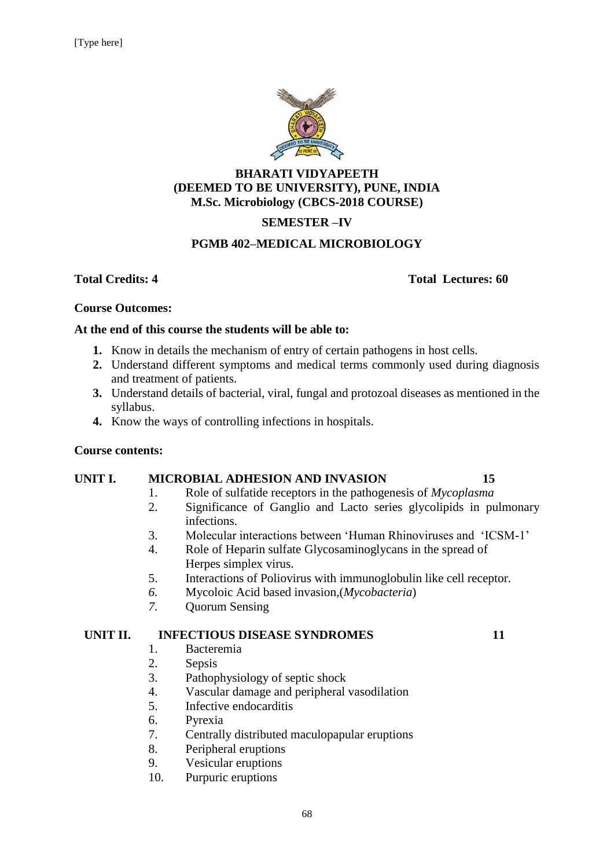

### **BHARATI VIDYAPEETH (DEEMED TO BE UNIVERSITY), PUNE, INDIA M.Sc. Microbiology (CBCS-2018 COURSE)**

# **SEMESTER –IV**

#### **PGMB 402–MEDICAL MICROBIOLOGY**

#### **Total Credits: 4 Total Lectures: 60**

#### **Course Outcomes:**

#### **At the end of this course the students will be able to:**

- **1.** Know in details the mechanism of entry of certain pathogens in host cells.
- **2.** Understand different symptoms and medical terms commonly used during diagnosis and treatment of patients.
- **3.** Understand details of bacterial, viral, fungal and protozoal diseases as mentioned in the syllabus.
- **4.** Know the ways of controlling infections in hospitals.

#### **Course contents:**

#### **UNIT I. MICROBIAL ADHESION AND INVASION 15**

- 1. Role of sulfatide receptors in the pathogenesis of *Mycoplasma*
- 2. Significance of Ganglio and Lacto series glycolipids in pulmonary infections.
- 3. Molecular interactions between 'Human Rhinoviruses and 'ICSM-1'
- 4. Role of Heparin sulfate Glycosaminoglycans in the spread of Herpes simplex virus.
- 5. Interactions of Poliovirus with immunoglobulin like cell receptor.
- *6.* Mycoloic Acid based invasion,(*Mycobacteria*)
- *7.* Quorum Sensing

#### **UNIT II. INFECTIOUS DISEASE SYNDROMES 11**

- 1. Bacteremia
- 2. Sepsis
- 3. Pathophysiology of septic shock
- 4. Vascular damage and peripheral vasodilation
- 5. Infective endocarditis
- 6. Pyrexia
- 7. Centrally distributed maculopapular eruptions
- 8. Peripheral eruptions
- 9. Vesicular eruptions
- 10. Purpuric eruptions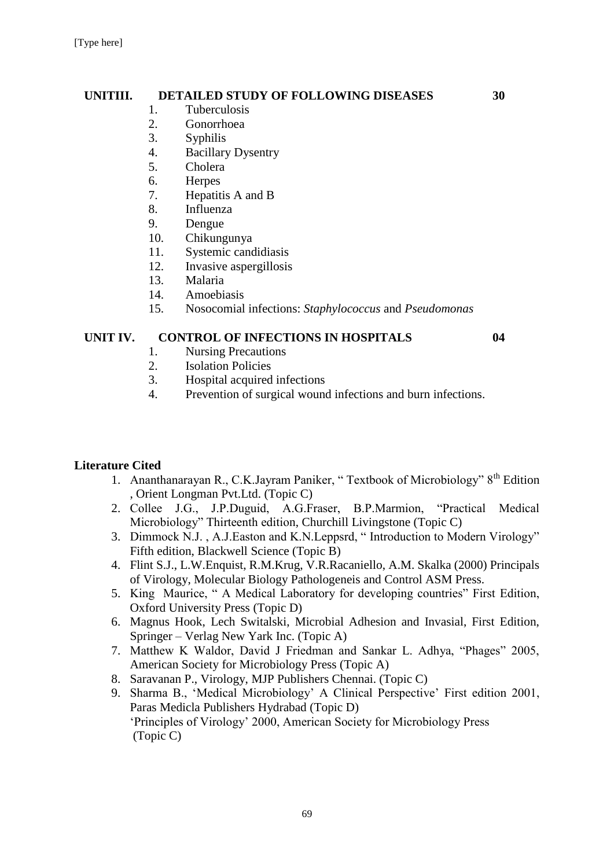#### **UNITIII. DETAILED STUDY OF FOLLOWING DISEASES 30**

- 1. Tuberculosis
- 2. Gonorrhoea
- 3. Syphilis
- 4. Bacillary Dysentry
- 5. Cholera
- 6. Herpes
- 7. Hepatitis A and B
- 8. Influenza
- 9. Dengue
- 10. Chikungunya
- 11. Systemic candidiasis
- 12. Invasive aspergillosis
- 13. Malaria
- 14. Amoebiasis
- 15. Nosocomial infections: *Staphylococcus* and *Pseudomonas*

#### **UNIT IV. CONTROL OF INFECTIONS IN HOSPITALS 04**

- 1. Nursing Precautions
- 2. Isolation Policies
- 3. Hospital acquired infections
- 4. Prevention of surgical wound infections and burn infections.

# **Literature Cited**

- 1. Ananthanarayan R., C.K.Jayram Paniker, " Textbook of Microbiology" 8th Edition , Orient Longman Pvt.Ltd. (Topic C)
- 2. Collee J.G., J.P.Duguid, A.G.Fraser, B.P.Marmion, "Practical Medical Microbiology" Thirteenth edition, Churchill Livingstone (Topic C)
- 3. Dimmock N.J. , A.J.Easton and K.N.Leppsrd, " Introduction to Modern Virology" Fifth edition, Blackwell Science (Topic B)
- 4. Flint S.J., L.W.Enquist, R.M.Krug, V.R.Racaniello, A.M. Skalka (2000) Principals of Virology, Molecular Biology Pathologeneis and Control ASM Press.
- 5. King Maurice, " A Medical Laboratory for developing countries" First Edition, Oxford University Press (Topic D)
- 6. Magnus Hook, Lech Switalski, Microbial Adhesion and Invasial, First Edition, Springer – Verlag New Yark Inc. (Topic A)
- 7. Matthew K Waldor, David J Friedman and Sankar L. Adhya, "Phages" 2005, American Society for Microbiology Press (Topic A)
- 8. Saravanan P., Virology, MJP Publishers Chennai. (Topic C)
- 9. Sharma B., 'Medical Microbiology' A Clinical Perspective' First edition 2001, Paras Medicla Publishers Hydrabad (Topic D) 'Principles of Virology' 2000, American Society for Microbiology Press (Topic C)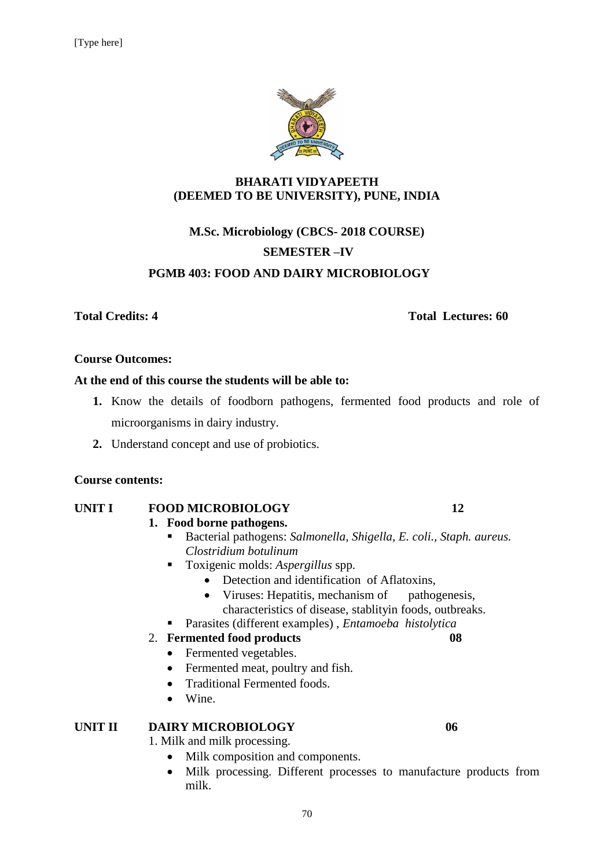

#### **BHARATI VIDYAPEETH (DEEMED TO BE UNIVERSITY), PUNE, INDIA**

# **M.Sc. Microbiology (CBCS- 2018 COURSE) SEMESTER –IV PGMB 403: FOOD AND DAIRY MICROBIOLOGY**

#### **Total Credits: 4 Total Lectures: 60**

#### **Course Outcomes:**

#### **At the end of this course the students will be able to:**

- **1.** Know the details of foodborn pathogens, fermented food products and role of microorganisms in dairy industry.
- **2.** Understand concept and use of probiotics.

#### **Course contents:**

# **UNIT I FOOD MICROBIOLOGY 12**

#### **1. Food borne pathogens.**

- Bacterial pathogens: *Salmonella, Shigella, E. coli., Staph. aureus. Clostridium botulinum*
- Toxigenic molds: *Aspergillus* spp.
	- Detection and identification of Aflatoxins,
	- Viruses: Hepatitis, mechanism of pathogenesis, characteristics of disease, stablityin foods, outbreaks.
- Parasites (different examples) , *Entamoeba histolytica*

#### 2. **Fermented food products 08**

- Fermented vegetables.
- Fermented meat, poultry and fish.
- Traditional Fermented foods.
- Wine.

#### **UNIT II DAIRY MICROBIOLOGY 06**

1. Milk and milk processing.

- Milk composition and components.
- Milk processing. Different processes to manufacture products from milk.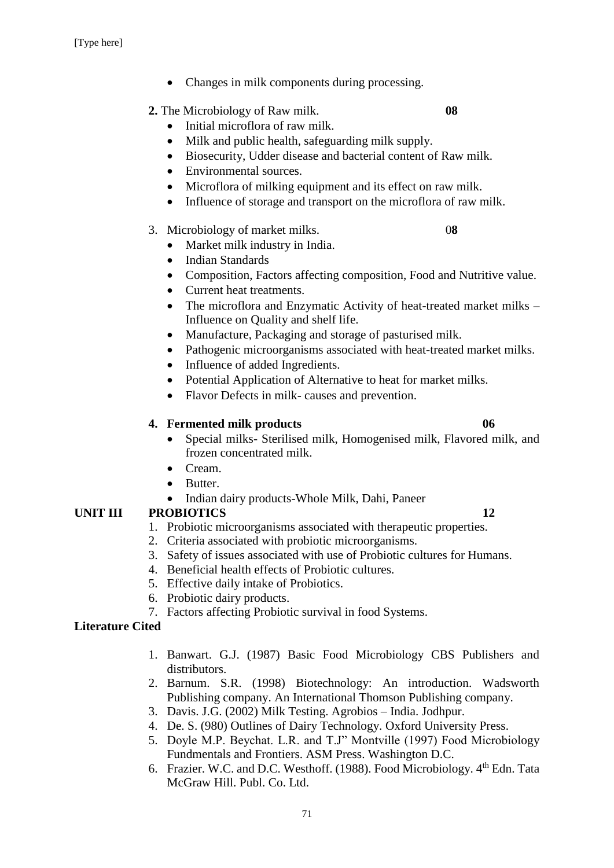• Changes in milk components during processing.

# **2.** The Microbiology of Raw milk. **08**

- Initial microflora of raw milk.
- Milk and public health, safeguarding milk supply.
- Biosecurity, Udder disease and bacterial content of Raw milk.
- Environmental sources.
- Microflora of milking equipment and its effect on raw milk.
- Influence of storage and transport on the microflora of raw milk.

# 3. Microbiology of market milks. 0**8**

- Market milk industry in India.
- Indian Standards
- Composition, Factors affecting composition, Food and Nutritive value.
- Current heat treatments.
- The microflora and Enzymatic Activity of heat-treated market milks Influence on Quality and shelf life.
- Manufacture, Packaging and storage of pasturised milk.
- Pathogenic microorganisms associated with heat-treated market milks.
- Influence of added Ingredients.
- Potential Application of Alternative to heat for market milks.
- Flavor Defects in milk- causes and prevention.

# **4. Fermented milk products 06**

- Special milks- Sterilised milk, Homogenised milk, Flavored milk, and frozen concentrated milk.
- Cream.
- Butter.
- Indian dairy products-Whole Milk, Dahi, Paneer

# **UNIT III PROBIOTICS 12**

- 1. Probiotic microorganisms associated with therapeutic properties.
- 2. Criteria associated with probiotic microorganisms.
- 3. Safety of issues associated with use of Probiotic cultures for Humans.
- 4. Beneficial health effects of Probiotic cultures.
- 5. Effective daily intake of Probiotics.
- 6. Probiotic dairy products.
- 7. Factors affecting Probiotic survival in food Systems.

# **Literature Cited**

- 1. Banwart. G.J. (1987) Basic Food Microbiology CBS Publishers and distributors.
- 2. Barnum. S.R. (1998) Biotechnology: An introduction. Wadsworth Publishing company. An International Thomson Publishing company.
- 3. Davis. J.G. (2002) Milk Testing. Agrobios India. Jodhpur.
- 4. De. S. (980) Outlines of Dairy Technology. Oxford University Press.
- 5. Doyle M.P. Beychat. L.R. and T.J" Montville (1997) Food Microbiology Fundmentals and Frontiers. ASM Press. Washington D.C.
- 6. Frazier. W.C. and D.C. Westhoff. (1988). Food Microbiology. 4th Edn. Tata McGraw Hill. Publ. Co. Ltd.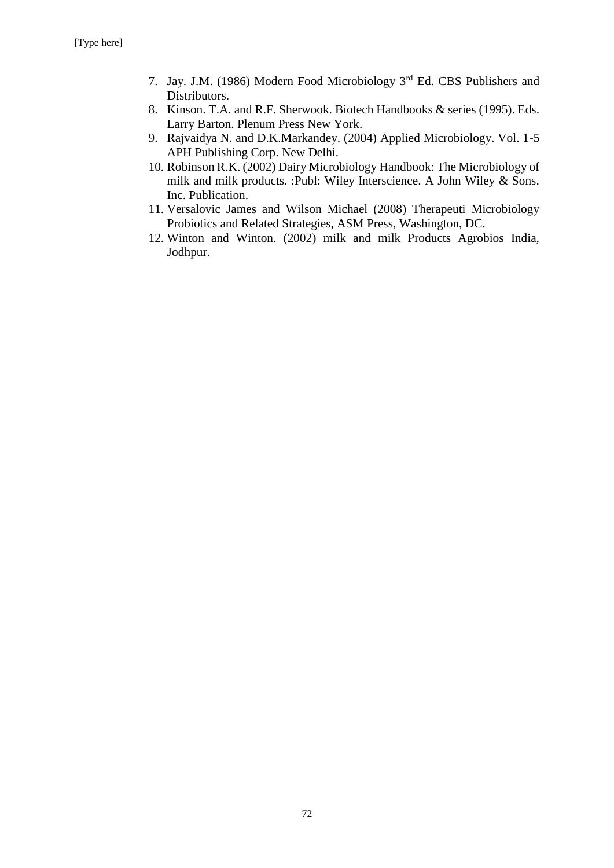- 7. Jay. J.M. (1986) Modern Food Microbiology 3rd Ed. CBS Publishers and Distributors.
- 8. Kinson. T.A. and R.F. Sherwook. Biotech Handbooks & series (1995). Eds. Larry Barton. Plenum Press New York.
- 9. Rajvaidya N. and D.K.Markandey. (2004) Applied Microbiology. Vol. 1-5 APH Publishing Corp. New Delhi.
- 10. Robinson R.K. (2002) Dairy Microbiology Handbook: The Microbiology of milk and milk products. :Publ: Wiley Interscience. A John Wiley & Sons. Inc. Publication.
- 11. Versalovic James and Wilson Michael (2008) Therapeuti Microbiology Probiotics and Related Strategies, ASM Press, Washington, DC.
- 12. Winton and Winton. (2002) milk and milk Products Agrobios India, Jodhpur.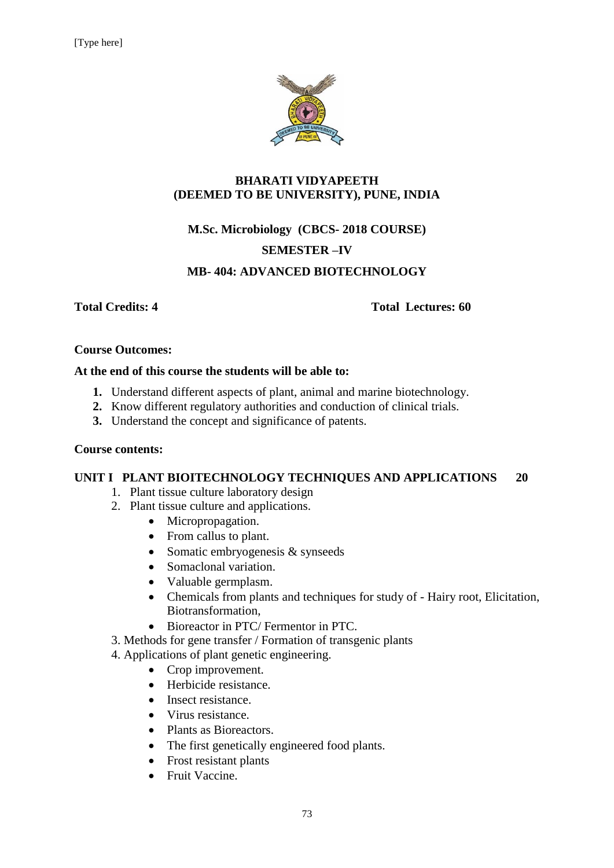

#### **BHARATI VIDYAPEETH (DEEMED TO BE UNIVERSITY), PUNE, INDIA**

# **M.Sc. Microbiology (CBCS- 2018 COURSE) SEMESTER –IV**

### **MB- 404: ADVANCED BIOTECHNOLOGY**

**Total Credits: 4 Total Lectures: 60**

#### **Course Outcomes:**

#### **At the end of this course the students will be able to:**

- **1.** Understand different aspects of plant, animal and marine biotechnology.
- **2.** Know different regulatory authorities and conduction of clinical trials.
- **3.** Understand the concept and significance of patents.

#### **Course contents:**

#### **UNIT I PLANT BIOITECHNOLOGY TECHNIQUES AND APPLICATIONS 20**

- 1. Plant tissue culture laboratory design
- 2. Plant tissue culture and applications.
	- Micropropagation.
	- From callus to plant.
	- Somatic embryogenesis & synseeds
	- Somaclonal variation.
	- Valuable germplasm.
	- Chemicals from plants and techniques for study of Hairy root, Elicitation, Biotransformation,
	- Bioreactor in PTC/ Fermentor in PTC.
- 3. Methods for gene transfer / Formation of transgenic plants
- 4. Applications of plant genetic engineering.
	- Crop improvement.
	- Herbicide resistance.
	- Insect resistance.
	- Virus resistance.
	- Plants as Bioreactors.
	- The first genetically engineered food plants.
	- Frost resistant plants
	- Fruit Vaccine.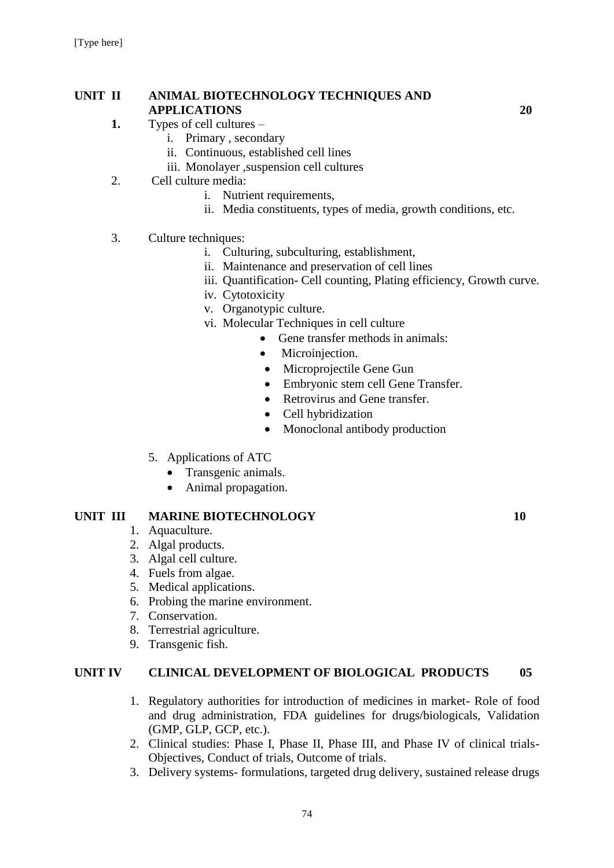#### **UNIT II ANIMAL BIOTECHNOLOGY TECHNIQUES AND APPLICATIONS 20**

- **1.** Types of cell cultures
	- i. Primary , secondary
		- ii. Continuous, established cell lines
		- iii. Monolayer ,suspension cell cultures
- 2. Cell culture media:
	- i. Nutrient requirements,
	- ii. Media constituents, types of media, growth conditions, etc.
- 3. Culture techniques:
	- i. Culturing, subculturing, establishment,
	- ii. Maintenance and preservation of cell lines
	- iii. Quantification- Cell counting, Plating efficiency, Growth curve.
	- iv. Cytotoxicity
	- v. Organotypic culture.
	- vi. Molecular Techniques in cell culture
		- Gene transfer methods in animals:
			- Microinjection.
			- Microprojectile Gene Gun
			- Embryonic stem cell Gene Transfer.
			- Retrovirus and Gene transfer.
			- Cell hybridization
			- Monoclonal antibody production
	- 5. Applications of ATC
		- Transgenic animals.
		- Animal propagation.

#### **UNIT III MARINE BIOTECHNOLOGY 10**

- 1. Aquaculture.
- 2. Algal products.
- 3. Algal cell culture.
- 4. Fuels from algae.
- 5. Medical applications.
- 6. Probing the marine environment.
- 7. Conservation.
- 8. Terrestrial agriculture.
- 9. Transgenic fish.

#### **UNIT IV CLINICAL DEVELOPMENT OF BIOLOGICAL PRODUCTS 05**

- 1. Regulatory authorities for introduction of medicines in market- Role of food and drug administration, FDA guidelines for drugs/biologicals, Validation (GMP, GLP, GCP, etc.).
- 2. Clinical studies: Phase I, Phase II, Phase III, and Phase IV of clinical trials-Objectives, Conduct of trials, Outcome of trials.
- 3. Delivery systems- formulations, targeted drug delivery, sustained release drugs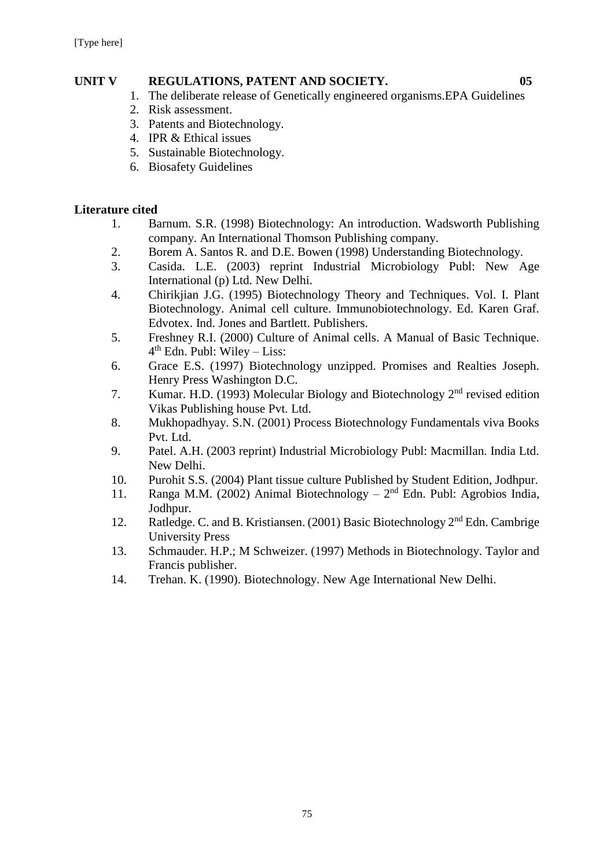### **UNIT V REGULATIONS, PATENT AND SOCIETY. 05**

- 
- 1. The deliberate release of Genetically engineered organisms.EPA Guidelines
- 2. Risk assessment.
- 3. Patents and Biotechnology.
- 4. IPR & Ethical issues
- 5. Sustainable Biotechnology.
- 6. Biosafety Guidelines

#### **Literature cited**

- 1. Barnum. S.R. (1998) Biotechnology: An introduction. Wadsworth Publishing company. An International Thomson Publishing company.
- 2. Borem A. Santos R. and D.E. Bowen (1998) Understanding Biotechnology.
- 3. Casida. L.E. (2003) reprint Industrial Microbiology Publ: New Age International (p) Ltd. New Delhi.
- 4. Chirikjian J.G. (1995) Biotechnology Theory and Techniques. Vol. I. Plant Biotechnology. Animal cell culture. Immunobiotechnology. Ed. Karen Graf. Edvotex. Ind. Jones and Bartlett. Publishers.
- 5. Freshney R.I. (2000) Culture of Animal cells. A Manual of Basic Technique. 4 th Edn. Publ: Wiley – Liss:
- 6. Grace E.S. (1997) Biotechnology unzipped. Promises and Realties Joseph. Henry Press Washington D.C.
- 7. Kumar. H.D. (1993) Molecular Biology and Biotechnology  $2<sup>nd</sup>$  revised edition Vikas Publishing house Pvt. Ltd.
- 8. Mukhopadhyay. S.N. (2001) Process Biotechnology Fundamentals viva Books Pvt. Ltd.
- 9. Patel. A.H. (2003 reprint) Industrial Microbiology Publ: Macmillan. India Ltd. New Delhi.
- 10. Purohit S.S. (2004) Plant tissue culture Published by Student Edition, Jodhpur.
- 11. Ranga M.M. (2002) Animal Biotechnology  $-2<sup>nd</sup>$  Edn. Publ: Agrobios India, Jodhpur.
- 12. Ratledge. C. and B. Kristiansen. (2001) Basic Biotechnology 2<sup>nd</sup> Edn. Cambrige University Press
- 13. Schmauder. H.P.; M Schweizer. (1997) Methods in Biotechnology. Taylor and Francis publisher.
- 14. Trehan. K. (1990). Biotechnology. New Age International New Delhi.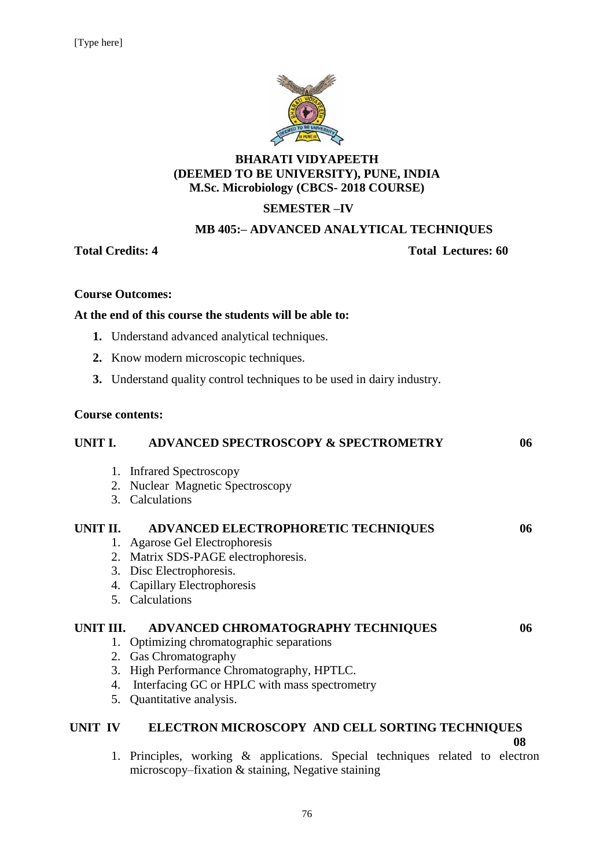

#### **BHARATI VIDYAPEETH (DEEMED TO BE UNIVERSITY), PUNE, INDIA M.Sc. Microbiology (CBCS- 2018 COURSE)**

### **SEMESTER –IV**

#### **MB 405:– ADVANCED ANALYTICAL TECHNIQUES**

#### **Total Credits: 4 Total Lectures: 60**

#### **Course Outcomes:**

#### **At the end of this course the students will be able to:**

- **1.** Understand advanced analytical techniques.
- **2.** Know modern microscopic techniques.
- **3.** Understand quality control techniques to be used in dairy industry.

#### **Course contents:**

| <b>UNIT I.</b> |    | <b>ADVANCED SPECTROSCOPY &amp; SPECTROMETRY</b>                        | 06 |
|----------------|----|------------------------------------------------------------------------|----|
|                |    | 1. Infrared Spectroscopy                                               |    |
|                |    | 2. Nuclear Magnetic Spectroscopy                                       |    |
|                |    | 3. Calculations                                                        |    |
| UNIT II.       |    | <b>ADVANCED ELECTROPHORETIC TECHNIQUES</b>                             | 06 |
|                |    | 1. Agarose Gel Electrophoresis                                         |    |
|                |    | 2. Matrix SDS-PAGE electrophoresis.                                    |    |
|                |    | 3. Disc Electrophoresis.                                               |    |
|                |    | 4. Capillary Electrophoresis                                           |    |
|                |    | 5. Calculations                                                        |    |
| UNIT III.      |    | ADVANCED CHROMATOGRAPHY TECHNIQUES                                     | 06 |
|                |    | 1. Optimizing chromatographic separations                              |    |
|                |    | 2. Gas Chromatography                                                  |    |
|                |    | 3. High Performance Chromatography, HPTLC.                             |    |
|                | 4. | Interfacing GC or HPLC with mass spectrometry                          |    |
|                |    | 5. Quantitative analysis.                                              |    |
| UNIT IV        |    | ELECTRON MICROSCOPY AND CELL SORTING TECHNIQUES                        | 08 |
|                |    | $\mathbf{A}$ is the contract of the state of the state of $\mathbf{A}$ |    |

1. Principles, working & applications. Special techniques related to electron microscopy–fixation & staining, Negative staining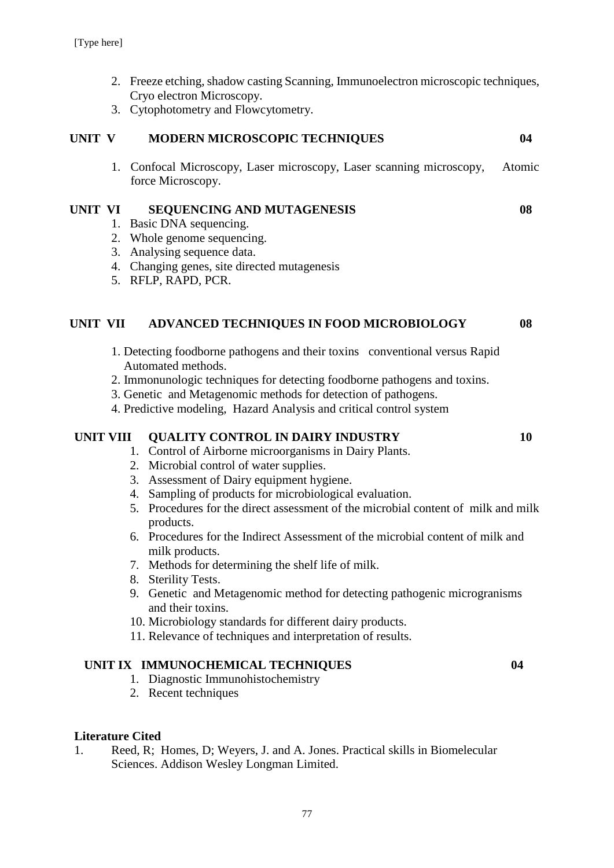- 2. Freeze etching, shadow casting Scanning, Immunoelectron microscopic techniques, Cryo electron Microscopy.
- 3. Cytophotometry and Flowcytometry.

#### **UNIT V MODERN MICROSCOPIC TECHNIQUES 04**

1. Confocal Microscopy, Laser microscopy, Laser scanning microscopy, Atomic force Microscopy.

#### **UNIT VI SEQUENCING AND MUTAGENESIS 08**

- 1. Basic DNA sequencing.
- 2. Whole genome sequencing.
- 3. Analysing sequence data.
- 4. Changing genes, site directed mutagenesis
- 5. RFLP, RAPD, PCR.

#### **UNIT VII ADVANCED TECHNIQUES IN FOOD MICROBIOLOGY 08**

- 1. Detecting foodborne pathogens and their toxins conventional versus Rapid Automated methods.
- 2. Immonunologic techniques for detecting foodborne pathogens and toxins.
- 3. Genetic and Metagenomic methods for detection of pathogens.
- 4. Predictive modeling, Hazard Analysis and critical control system

#### **UNIT VIII QUALITY CONTROL IN DAIRY INDUSTRY 10**

- 1. Control of Airborne microorganisms in Dairy Plants.
- 2. Microbial control of water supplies.
- 3. Assessment of Dairy equipment hygiene.
- 4. Sampling of products for microbiological evaluation.
- 5. Procedures for the direct assessment of the microbial content of milk and milk products.
- 6. Procedures for the Indirect Assessment of the microbial content of milk and milk products.
- 7. Methods for determining the shelf life of milk.
- 8. Sterility Tests.
- 9. Genetic and Metagenomic method for detecting pathogenic microgranisms and their toxins.
- 10. Microbiology standards for different dairy products.
- 11. Relevance of techniques and interpretation of results.

#### **UNIT IX IMMUNOCHEMICAL TECHNIQUES 04**

- 1. Diagnostic Immunohistochemistry
- 2. Recent techniques

#### **Literature Cited**

1. Reed, R; Homes, D; Weyers, J. and A. Jones. Practical skills in Biomelecular Sciences. Addison Wesley Longman Limited.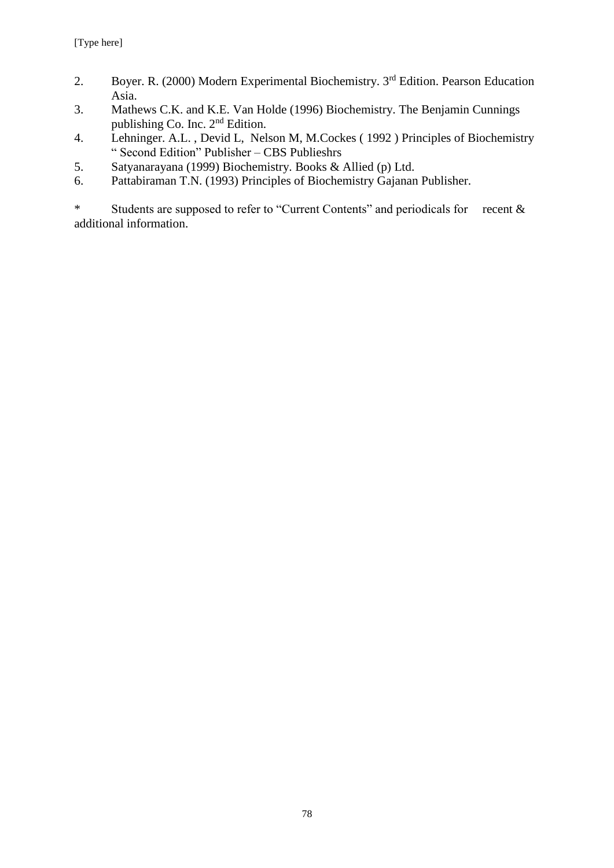- 2. Boyer. R. (2000) Modern Experimental Biochemistry. 3<sup>rd</sup> Edition. Pearson Education Asia.
- 3. Mathews C.K. and K.E. Van Holde (1996) Biochemistry. The Benjamin Cunnings publishing Co. Inc. 2nd Edition.
- 4. Lehninger. A.L. , Devid L, Nelson M, M.Cockes ( 1992 ) Principles of Biochemistry " Second Edition" Publisher – CBS Publieshrs
- 5. Satyanarayana (1999) Biochemistry. Books & Allied (p) Ltd.
- 6. Pattabiraman T.N. (1993) Principles of Biochemistry Gajanan Publisher.

\* Students are supposed to refer to "Current Contents" and periodicals for recent & additional information.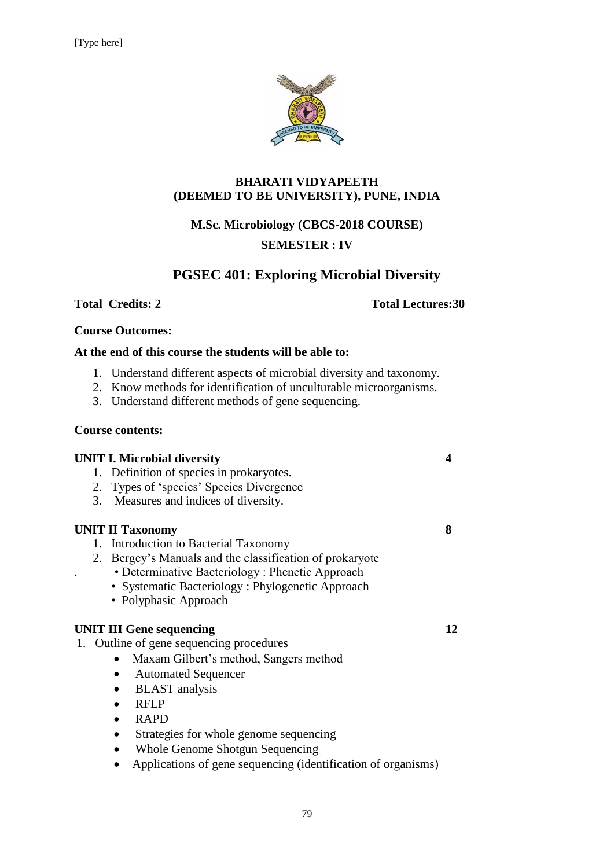

#### **BHARATI VIDYAPEETH (DEEMED TO BE UNIVERSITY), PUNE, INDIA**

# **M.Sc. Microbiology (CBCS-2018 COURSE)**

### **SEMESTER : IV**

# **PGSEC 401: Exploring Microbial Diversity**

#### **Total Credits: 2** Total Lectures: 30

#### **Course Outcomes:**

#### **At the end of this course the students will be able to:**

- 1. Understand different aspects of microbial diversity and taxonomy.
- 2. Know methods for identification of unculturable microorganisms.
- 3. Understand different methods of gene sequencing.

#### **Course contents:**

| <b>UNIT I. Microbial diversity</b><br>Definition of species in prokaryotes.<br>1.<br>2. Types of 'species' Species Divergence<br>Measures and indices of diversity.<br>3.                                                                                                                                         |    |
|-------------------------------------------------------------------------------------------------------------------------------------------------------------------------------------------------------------------------------------------------------------------------------------------------------------------|----|
| <b>UNIT II Taxonomy</b><br>1. Introduction to Bacterial Taxonomy<br>2. Bergey's Manuals and the classification of prokaryote<br>• Determinative Bacteriology: Phenetic Approach<br>• Systematic Bacteriology: Phylogenetic Approach<br>• Polyphasic Approach                                                      | 8  |
| <b>UNIT III Gene sequencing</b><br>1. Outline of gene sequencing procedures<br>Maxam Gilbert's method, Sangers method<br><b>Automated Sequencer</b><br><b>BLAST</b> analysis<br><b>RFLP</b><br><b>RAPD</b><br>Strategies for whole genome sequencing<br>$\bullet$<br>Whole Genome Shotgun Sequencing<br>$\bullet$ | 12 |
| Applications of gene sequencing (identification of organisms)                                                                                                                                                                                                                                                     |    |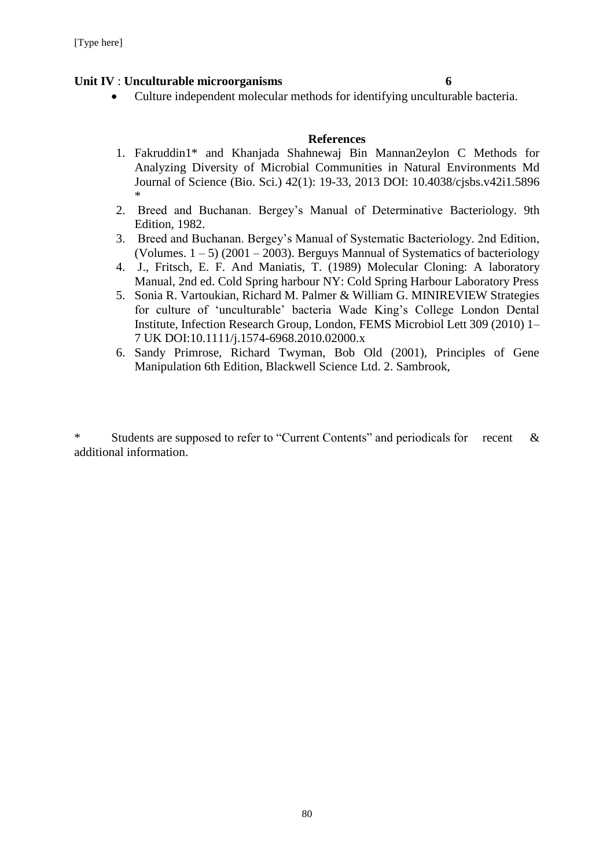#### **Unit IV** : **Unculturable microorganisms 6**

Culture independent molecular methods for identifying unculturable bacteria.

#### **References**

- 1. Fakruddin1\* and Khanjada Shahnewaj Bin Mannan2eylon C Methods for Analyzing Diversity of Microbial Communities in Natural Environments Md Journal of Science (Bio. Sci.) 42(1): 19-33, 2013 DOI: 10.4038/cjsbs.v42i1.5896 \*
- 2. Breed and Buchanan. Bergey's Manual of Determinative Bacteriology. 9th Edition, 1982.
- 3. Breed and Buchanan. Bergey's Manual of Systematic Bacteriology. 2nd Edition, (Volumes.  $1 - 5$ ) (2001 – 2003). Berguys Mannual of Systematics of bacteriology
- 4. J., Fritsch, E. F. And Maniatis, T. (1989) Molecular Cloning: A laboratory Manual, 2nd ed. Cold Spring harbour NY: Cold Spring Harbour Laboratory Press
- 5. Sonia R. Vartoukian, Richard M. Palmer & William G. MINIREVIEW Strategies for culture of 'unculturable' bacteria Wade King's College London Dental Institute, Infection Research Group, London, FEMS Microbiol Lett 309 (2010) 1– 7 UK DOI:10.1111/j.1574-6968.2010.02000.x
- 6. Sandy Primrose, Richard Twyman, Bob Old (2001), Principles of Gene Manipulation 6th Edition, Blackwell Science Ltd. 2. Sambrook,

\* Students are supposed to refer to "Current Contents" and periodicals for recent & additional information.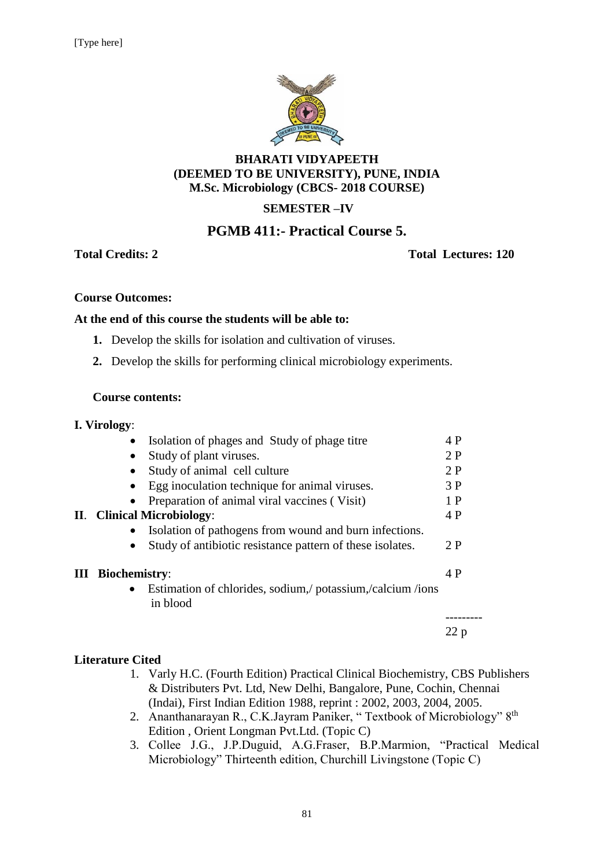

#### **BHARATI VIDYAPEETH (DEEMED TO BE UNIVERSITY), PUNE, INDIA M.Sc. Microbiology (CBCS- 2018 COURSE)**

# **SEMESTER –IV**

# **PGMB 411:- Practical Course 5.**

#### **Total Credits: 2 Total Lectures: 120**

22 p

#### **Course Outcomes:**

#### **At the end of this course the students will be able to:**

- **1.** Develop the skills for isolation and cultivation of viruses.
- **2.** Develop the skills for performing clinical microbiology experiments.

#### **Course contents:**

|   | I. Virology:         |                                                                       |     |
|---|----------------------|-----------------------------------------------------------------------|-----|
|   |                      | Isolation of phages and Study of phage titre                          | 4 P |
|   |                      | Study of plant viruses.                                               | 2P  |
|   |                      | Study of animal cell culture                                          | 2P  |
|   |                      | Egg inoculation technique for animal viruses.                         | 3P  |
|   |                      | Preparation of animal viral vaccines (Visit)                          | 1P  |
|   |                      | II. Clinical Microbiology:                                            | 4 P |
|   |                      | Isolation of pathogens from wound and burn infections.                |     |
|   |                      | Study of antibiotic resistance pattern of these isolates.             | 2P  |
| Ш | <b>Biochemistry:</b> |                                                                       | 4 P |
|   | $\bullet$            | Estimation of chlorides, sodium, potassium, calcium /ions<br>in blood |     |
|   |                      |                                                                       |     |

#### **Literature Cited**

- 1. Varly H.C. (Fourth Edition) Practical Clinical Biochemistry, CBS Publishers & Distributers Pvt. Ltd, New Delhi, Bangalore, Pune, Cochin, Chennai (Indai), First Indian Edition 1988, reprint : 2002, 2003, 2004, 2005.
- 2. Ananthanarayan R., C.K.Jayram Paniker, "Textbook of Microbiology" 8<sup>th</sup> Edition , Orient Longman Pvt.Ltd. (Topic C)
- 3. Collee J.G., J.P.Duguid, A.G.Fraser, B.P.Marmion, "Practical Medical Microbiology" Thirteenth edition, Churchill Livingstone (Topic C)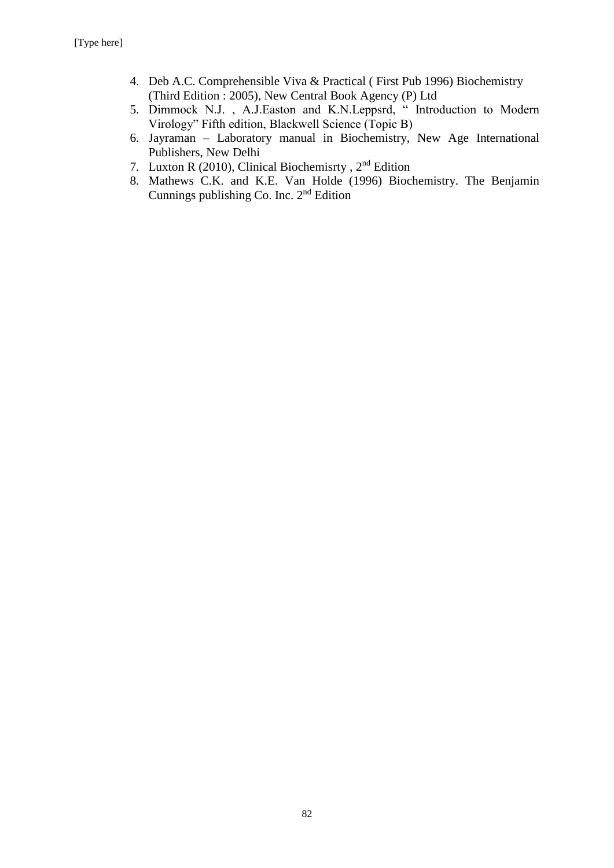- 4. Deb A.C. Comprehensible Viva & Practical ( First Pub 1996) Biochemistry (Third Edition : 2005), New Central Book Agency (P) Ltd
- 5. Dimmock N.J., A.J.Easton and K.N.Leppsrd, "Introduction to Modern Virology" Fifth edition, Blackwell Science (Topic B)
- 6. Jayraman Laboratory manual in Biochemistry, New Age International Publishers, New Delhi
- 7. Luxton R (2010), Clinical Biochemisrty , 2nd Edition
- 8. Mathews C.K. and K.E. Van Holde (1996) Biochemistry. The Benjamin Cunnings publishing Co. Inc. 2nd Edition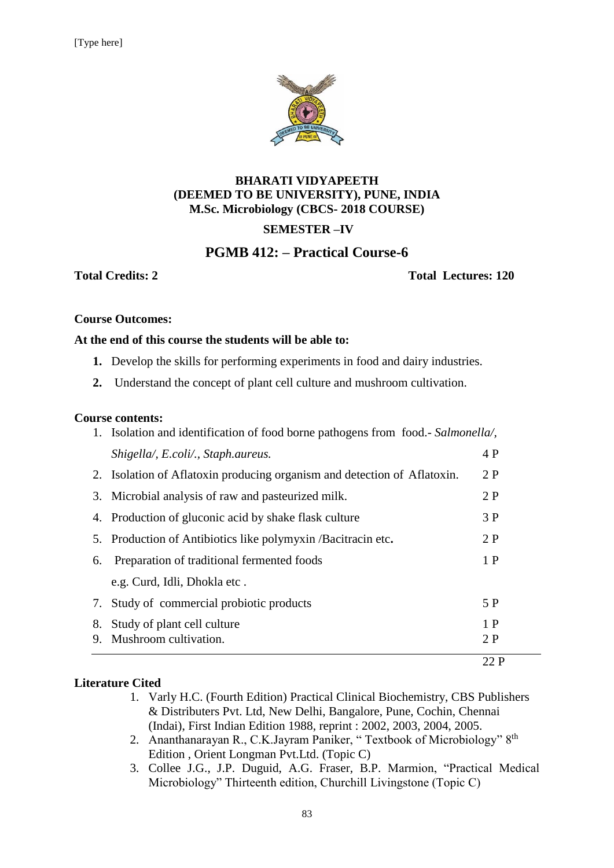

### **BHARATI VIDYAPEETH (DEEMED TO BE UNIVERSITY), PUNE, INDIA M.Sc. Microbiology (CBCS- 2018 COURSE) SEMESTER –IV**

# **PGMB 412: – Practical Course-6**

**Total Credits: 2 Total Lectures: 120**

#### **Course Outcomes:**

#### **At the end of this course the students will be able to:**

- **1.** Develop the skills for performing experiments in food and dairy industries.
- **2.** Understand the concept of plant cell culture and mushroom cultivation.

#### **Course contents:**

|    |                                                                                | 22P |  |
|----|--------------------------------------------------------------------------------|-----|--|
| 9. | Mushroom cultivation.                                                          | 2 P |  |
| 8. | Study of plant cell culture                                                    | 1P  |  |
|    | 7. Study of commercial probiotic products                                      | 5 P |  |
|    | e.g. Curd, Idli, Dhokla etc.                                                   |     |  |
| 6. | Preparation of traditional fermented foods                                     | 1P  |  |
|    | 5. Production of Antibiotics like polymyxin /Bacitracin etc.                   | 2 P |  |
|    | 4. Production of gluconic acid by shake flask culture                          | 3 P |  |
|    | 3. Microbial analysis of raw and pasteurized milk.                             | 2P  |  |
|    | 2. Isolation of Aflatoxin producing organism and detection of Aflatoxin.       | 2P  |  |
|    | Shigella/, E.coli/., Staph.aureus.                                             | 4 P |  |
|    | 1. Isolation and identification of food borne pathogens from food. Salmonella, |     |  |

#### **Literature Cited**

- 1. Varly H.C. (Fourth Edition) Practical Clinical Biochemistry, CBS Publishers & Distributers Pvt. Ltd, New Delhi, Bangalore, Pune, Cochin, Chennai (Indai), First Indian Edition 1988, reprint : 2002, 2003, 2004, 2005.
- 2. Ananthanarayan R., C.K.Jayram Paniker, "Textbook of Microbiology" 8<sup>th</sup> Edition , Orient Longman Pvt.Ltd. (Topic C)
- 3. Collee J.G., J.P. Duguid, A.G. Fraser, B.P. Marmion, "Practical Medical Microbiology" Thirteenth edition, Churchill Livingstone (Topic C)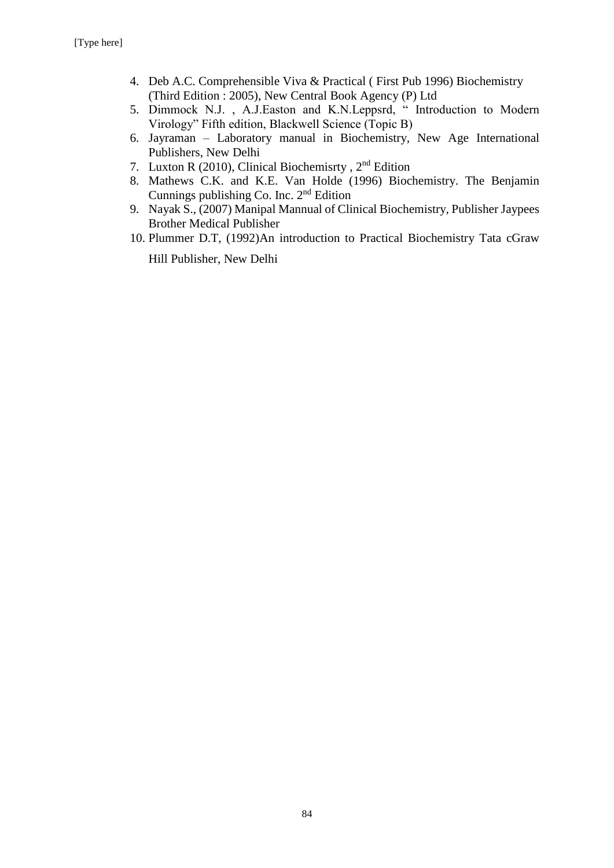- 4. Deb A.C. Comprehensible Viva & Practical ( First Pub 1996) Biochemistry (Third Edition : 2005), New Central Book Agency (P) Ltd
- 5. Dimmock N.J., A.J.Easton and K.N.Leppsrd, " Introduction to Modern Virology" Fifth edition, Blackwell Science (Topic B)
- 6. Jayraman Laboratory manual in Biochemistry, New Age International Publishers, New Delhi
- 7. Luxton R (2010), Clinical Biochemisrty , 2nd Edition
- 8. Mathews C.K. and K.E. Van Holde (1996) Biochemistry. The Benjamin Cunnings publishing Co. Inc. 2nd Edition
- 9. Nayak S., (2007) Manipal Mannual of Clinical Biochemistry, Publisher Jaypees Brother Medical Publisher
- 10. Plummer D.T, (1992)An introduction to Practical Biochemistry Tata cGraw

Hill Publisher, New Delhi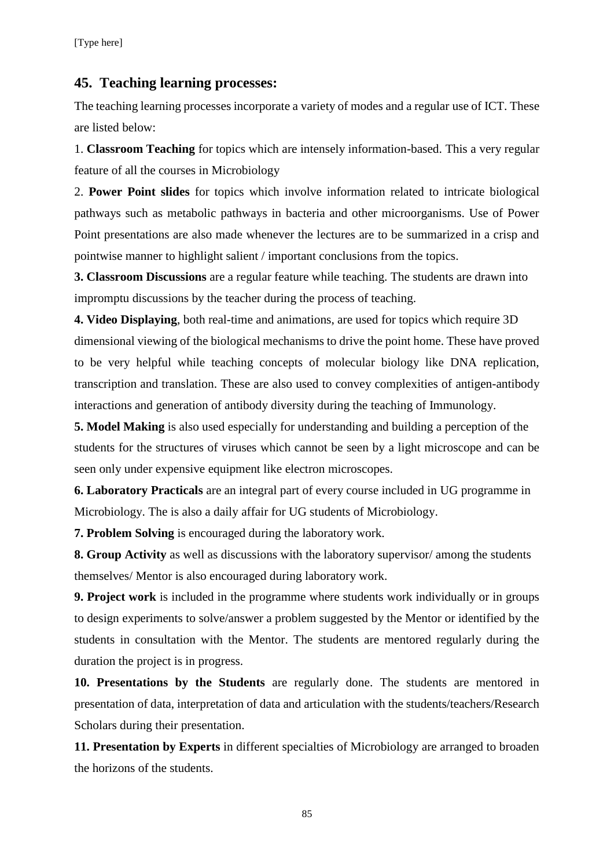### **45. Teaching learning processes:**

The teaching learning processes incorporate a variety of modes and a regular use of ICT. These are listed below:

1. **Classroom Teaching** for topics which are intensely information-based. This a very regular feature of all the courses in Microbiology

2. **Power Point slides** for topics which involve information related to intricate biological pathways such as metabolic pathways in bacteria and other microorganisms. Use of Power Point presentations are also made whenever the lectures are to be summarized in a crisp and pointwise manner to highlight salient / important conclusions from the topics.

**3. Classroom Discussions** are a regular feature while teaching. The students are drawn into impromptu discussions by the teacher during the process of teaching.

**4. Video Displaying**, both real-time and animations, are used for topics which require 3D dimensional viewing of the biological mechanisms to drive the point home. These have proved to be very helpful while teaching concepts of molecular biology like DNA replication, transcription and translation. These are also used to convey complexities of antigen-antibody interactions and generation of antibody diversity during the teaching of Immunology.

**5. Model Making** is also used especially for understanding and building a perception of the students for the structures of viruses which cannot be seen by a light microscope and can be seen only under expensive equipment like electron microscopes.

**6. Laboratory Practicals** are an integral part of every course included in UG programme in Microbiology. The is also a daily affair for UG students of Microbiology.

**7. Problem Solving** is encouraged during the laboratory work.

**8. Group Activity** as well as discussions with the laboratory supervisor/ among the students themselves/ Mentor is also encouraged during laboratory work.

**9. Project work** is included in the programme where students work individually or in groups to design experiments to solve/answer a problem suggested by the Mentor or identified by the students in consultation with the Mentor. The students are mentored regularly during the duration the project is in progress.

**10. Presentations by the Students** are regularly done. The students are mentored in presentation of data, interpretation of data and articulation with the students/teachers/Research Scholars during their presentation.

**11. Presentation by Experts** in different specialties of Microbiology are arranged to broaden the horizons of the students.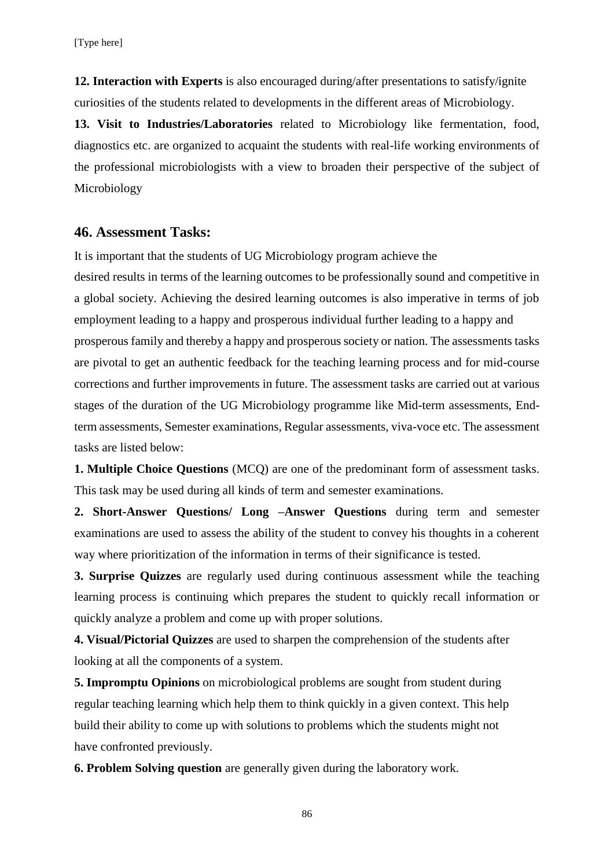**12. Interaction with Experts** is also encouraged during/after presentations to satisfy/ignite curiosities of the students related to developments in the different areas of Microbiology.

**13. Visit to Industries/Laboratories** related to Microbiology like fermentation, food, diagnostics etc. are organized to acquaint the students with real-life working environments of the professional microbiologists with a view to broaden their perspective of the subject of Microbiology

#### **46. Assessment Tasks:**

It is important that the students of UG Microbiology program achieve the

desired results in terms of the learning outcomes to be professionally sound and competitive in a global society. Achieving the desired learning outcomes is also imperative in terms of job employment leading to a happy and prosperous individual further leading to a happy and prosperous family and thereby a happy and prosperous society or nation. The assessments tasks are pivotal to get an authentic feedback for the teaching learning process and for mid-course corrections and further improvements in future. The assessment tasks are carried out at various stages of the duration of the UG Microbiology programme like Mid-term assessments, Endterm assessments, Semester examinations, Regular assessments, viva-voce etc. The assessment tasks are listed below:

**1. Multiple Choice Questions** (MCQ) are one of the predominant form of assessment tasks. This task may be used during all kinds of term and semester examinations.

**2. Short-Answer Questions/ Long –Answer Questions** during term and semester examinations are used to assess the ability of the student to convey his thoughts in a coherent way where prioritization of the information in terms of their significance is tested.

**3. Surprise Quizzes** are regularly used during continuous assessment while the teaching learning process is continuing which prepares the student to quickly recall information or quickly analyze a problem and come up with proper solutions.

**4. Visual/Pictorial Quizzes** are used to sharpen the comprehension of the students after looking at all the components of a system.

**5. Impromptu Opinions** on microbiological problems are sought from student during regular teaching learning which help them to think quickly in a given context. This help build their ability to come up with solutions to problems which the students might not have confronted previously.

**6. Problem Solving question** are generally given during the laboratory work.

86